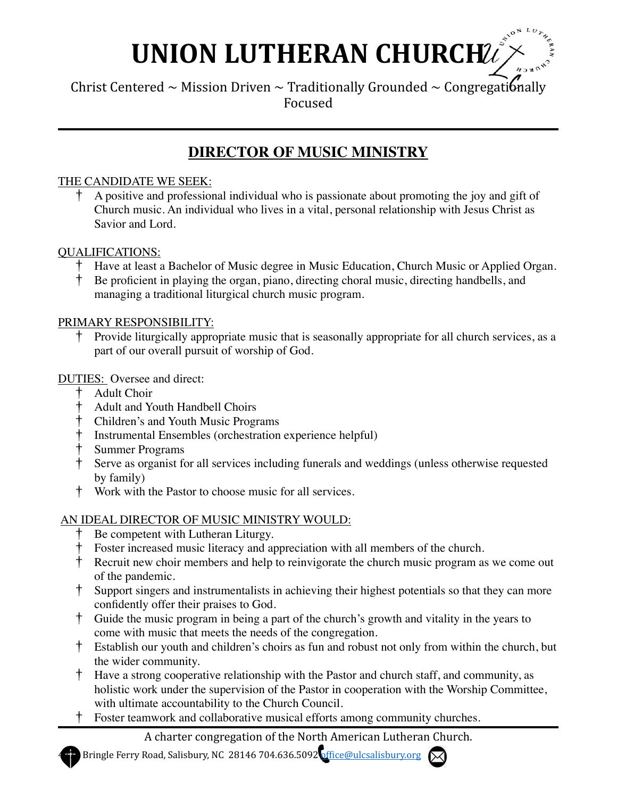# **UNION LUTHERAN CHURCHUZ**

Christ Centered ~ Mission Driven ~ Traditionally Grounded ~ Congregationally Focused

# **DIRECTOR OF MUSIC MINISTRY**

### THE CANDIDATE WE SEEK:

† A positive and professional individual who is passionate about promoting the joy and gift of Church music. An individual who lives in a vital, personal relationship with Jesus Christ as Savior and Lord.

#### QUALIFICATIONS:

- † Have at least a Bachelor of Music degree in Music Education, Church Music or Applied Organ.
- † Be proficient in playing the organ, piano, directing choral music, directing handbells, and managing a traditional liturgical church music program.

#### PRIMARY RESPONSIBILITY:

† Provide liturgically appropriate music that is seasonally appropriate for all church services, as a part of our overall pursuit of worship of God.

#### DUTIES: Oversee and direct:

- † Adult Choir
- † Adult and Youth Handbell Choirs
- † Children's and Youth Music Programs
- † Instrumental Ensembles (orchestration experience helpful)
- † Summer Programs
- † Serve as organist for all services including funerals and weddings (unless otherwise requested by family)
- † Work with the Pastor to choose music for all services.

#### AN IDEAL DIRECTOR OF MUSIC MINISTRY WOULD:

- Be competent with Lutheran Liturgy.
- † Foster increased music literacy and appreciation with all members of the church.
- † Recruit new choir members and help to reinvigorate the church music program as we come out of the pandemic.
- † Support singers and instrumentalists in achieving their highest potentials so that they can more confidently offer their praises to God.
- † Guide the music program in being a part of the church's growth and vitality in the years to come with music that meets the needs of the congregation.
- † Establish our youth and children's choirs as fun and robust not only from within the church, but the wider community.
- † Have a strong cooperative relationship with the Pastor and church staff, and community, as holistic work under the supervision of the Pastor in cooperation with the Worship Committee, with ultimate accountability to the Church Council.
- † Foster teamwork and collaborative musical efforts among community churches.

# A charter congregation of the North American Lutheran Church.

Bringle Ferry Road, Salisbury, NC 28146 704.636.5092 office@ulcsalisbury.org